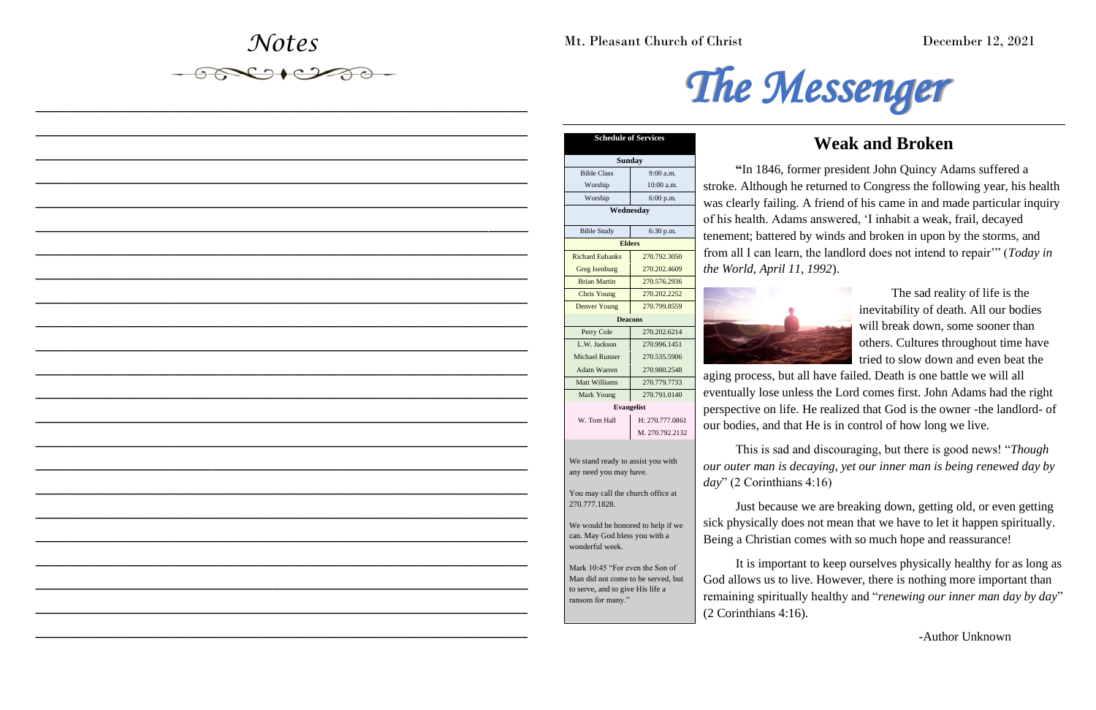Mt. Pleasant Church of Christ December 12, 2021

*Notes*

*\_\_\_\_\_\_\_\_\_\_\_\_\_\_\_\_\_\_\_\_\_\_\_\_\_\_\_\_\_\_\_\_\_\_\_\_\_\_\_\_\_\_\_\_\_\_\_\_\_\_*

*\_\_\_\_\_\_\_\_\_\_\_\_\_\_\_\_\_\_\_\_\_\_\_\_\_\_\_\_\_\_\_\_\_\_\_\_\_\_\_\_\_\_\_\_\_\_\_\_\_\_*

*\_\_\_\_\_\_\_\_\_\_\_\_\_\_\_\_\_\_\_\_\_\_\_\_\_\_\_\_\_\_\_\_\_\_\_\_\_\_\_\_\_\_\_\_\_\_\_\_\_\_*

*\_\_\_\_\_\_\_\_\_\_\_\_\_\_\_\_\_\_\_\_\_\_\_\_\_\_\_\_\_\_\_\_\_\_\_\_\_\_\_\_\_\_\_\_\_\_\_\_\_\_*

*\_\_\_\_\_\_\_\_\_\_\_\_\_\_\_\_\_\_\_\_\_\_\_\_\_\_\_\_\_\_\_\_\_\_\_\_\_\_\_\_\_\_\_\_\_\_\_\_\_\_*

*\_\_\_\_\_\_\_\_\_\_\_\_\_\_\_\_\_\_\_\_\_\_\_\_\_\_\_\_\_\_\_\_\_\_\_\_\_\_\_\_\_\_\_\_\_\_\_\_\_\_*

*\_\_\_\_\_\_\_\_\_\_\_\_\_\_\_\_\_\_\_\_\_\_\_\_\_\_\_\_\_\_\_\_\_\_\_\_\_\_\_\_\_\_\_\_\_\_\_\_\_\_*

*\_\_\_\_\_\_\_\_\_\_\_\_\_\_\_\_\_\_\_\_\_\_\_\_\_\_\_\_\_\_\_\_\_\_\_\_\_\_\_\_\_\_\_\_\_\_\_\_\_\_*

*\_\_\_\_\_\_\_\_\_\_\_\_\_\_\_\_\_\_\_\_\_\_\_\_\_\_\_\_\_\_\_\_\_\_\_\_\_\_\_\_\_\_\_\_\_\_\_\_\_\_*

*\_\_\_\_\_\_\_\_\_\_\_\_\_\_\_\_\_\_\_\_\_\_\_\_\_\_\_\_\_\_\_\_\_\_\_\_\_\_\_\_\_\_\_\_\_\_\_\_\_\_*

*\_\_\_\_\_\_\_\_\_\_\_\_\_\_\_\_\_\_\_\_\_\_\_\_\_\_\_\_\_\_\_\_\_\_\_\_\_\_\_\_\_\_\_\_\_\_\_\_\_\_*

*\_\_\_\_\_\_\_\_\_\_\_\_\_\_\_\_\_\_\_\_\_\_\_\_\_\_\_\_\_\_\_\_\_\_\_\_\_\_\_\_\_\_\_\_\_\_\_\_\_\_*

*\_\_\_\_\_\_\_\_\_\_\_\_\_\_\_\_\_\_\_\_\_\_\_\_\_\_\_\_\_\_\_\_\_\_\_\_\_\_\_\_\_\_\_\_\_\_\_\_\_\_*

*\_\_\_\_\_\_\_\_\_\_\_\_\_\_\_\_\_\_\_\_\_\_\_\_\_\_\_\_\_\_\_\_\_\_\_\_\_\_\_\_\_\_\_\_\_\_\_\_\_\_*

*\_\_\_\_\_\_\_\_\_\_\_\_\_\_\_\_\_\_\_\_\_\_\_\_\_\_\_\_\_\_\_\_\_\_\_\_\_\_\_\_\_\_\_\_\_\_\_\_\_\_*

*\_\_\_\_\_\_\_\_\_\_\_\_\_\_\_\_\_\_\_\_\_\_\_\_\_\_\_\_\_\_\_\_\_\_\_\_\_\_\_\_\_\_\_\_\_\_\_\_\_\_*

*\_\_\_\_\_\_\_\_\_\_\_\_\_\_\_\_\_\_\_\_\_\_\_\_\_\_\_\_\_\_\_\_\_\_\_\_\_\_\_\_\_\_\_\_\_\_\_\_\_\_*

*\_\_\_\_\_\_\_\_\_\_\_\_\_\_\_\_\_\_\_\_\_\_\_\_\_\_\_\_\_\_\_\_\_\_\_\_\_\_\_\_\_\_\_\_\_\_\_\_\_\_*

*\_\_\_\_\_\_\_\_\_\_\_\_\_\_\_\_\_\_\_\_\_\_\_\_\_\_\_\_\_\_\_\_\_\_\_\_\_\_\_\_\_\_\_\_\_\_\_\_\_\_*

*\_\_\_\_\_\_\_\_\_\_\_\_\_\_\_\_\_\_\_\_\_\_\_\_\_\_\_\_\_\_\_\_\_\_\_\_\_\_\_\_\_\_\_\_\_\_\_\_\_\_*

*\_\_\_\_\_\_\_\_\_\_\_\_\_\_\_\_\_\_\_\_\_\_\_\_\_\_\_\_\_\_\_\_\_\_\_\_\_\_\_\_\_\_\_\_\_\_\_\_\_\_*

*\_\_\_\_\_\_\_\_\_\_\_\_\_\_\_\_\_\_\_\_\_\_\_\_\_\_\_\_\_\_\_\_\_\_\_\_\_\_\_\_\_\_\_\_\_\_\_\_\_\_*

*\_\_\_\_\_\_\_\_\_\_\_\_\_\_\_\_\_\_\_\_\_\_\_\_\_\_\_\_\_\_\_\_\_\_\_\_\_\_\_\_\_\_\_\_\_\_\_\_\_\_*



# **Weak and Broken**

**"**In 1846, former president John Quincy Adams suffered a stroke. Although he returned to Congress the following year, his health was clearly failing. A friend of his came in and made particular inquiry of his health. Adams answered, 'I inhabit a weak, frail, decayed tenement; battered by winds and broken in upon by the storms, and from all I can learn, the landlord does not intend to repair'" (*Today in the World, April 11, 1992*).



The sad reality of life is the inevitability of death. All our bodies will break down, some sooner than others. Cultures throughout time have tried to slow down and even beat the

aging process, but all have failed. Death is one battle we will all eventually lose unless the Lord comes first. John Adams had the right perspective on life. He realized that God is the owner -the landlord- of our bodies, and that He is in control of how long we live.

This is sad and discouraging, but there is good news! "*Though our outer man is decaying, yet our inner man is being renewed day by day*" (2 Corinthians 4:16)

Just because we are breaking down, getting old, or even getting sick physically does not mean that we have to let it happen spiritually. Being a Christian comes with so much hope and reassurance!

It is important to keep ourselves physically healthy for as long as God allows us to live. However, there is nothing more important than remaining spiritually healthy and "*renewing our inner man day by day*" (2 Corinthians 4:16).

-Author Unknown

| <b>Schedule of Services</b>                                                           |                   |  |  |  |
|---------------------------------------------------------------------------------------|-------------------|--|--|--|
| <b>Sunday</b>                                                                         |                   |  |  |  |
| <b>Bible Class</b>                                                                    | $9:00$ a.m.       |  |  |  |
| Worship                                                                               | 10:00 a.m.        |  |  |  |
| Worship                                                                               | $6:00$ p.m.       |  |  |  |
| Wednesday                                                                             |                   |  |  |  |
| <b>Bible Study</b>                                                                    | $6:30$ p.m.       |  |  |  |
| <b>Elders</b>                                                                         |                   |  |  |  |
| <b>Richard Eubanks</b>                                                                | 270.792.3050      |  |  |  |
| Greg Isenburg                                                                         | 270.202.4609      |  |  |  |
| <b>Brian Martin</b>                                                                   | 270.576.2936      |  |  |  |
| <b>Chris Young</b>                                                                    | 270.202.2252      |  |  |  |
| <b>Denver Young</b>                                                                   | 270.799.8559      |  |  |  |
| <b>Deacons</b>                                                                        |                   |  |  |  |
| Perry Cole                                                                            | 270.202.6214      |  |  |  |
| L.W. Jackson                                                                          | 270.996.1451      |  |  |  |
| <b>Michael Runner</b>                                                                 | 270.535.5906      |  |  |  |
| <b>Adam Warren</b>                                                                    | 270.980.2548      |  |  |  |
| Matt Williams                                                                         | 270.779.7733      |  |  |  |
| Mark Young                                                                            | 270.791.0140      |  |  |  |
|                                                                                       | <b>Evangelist</b> |  |  |  |
| W. Tom Hall                                                                           | H: 270.777.0861   |  |  |  |
|                                                                                       | M. 270.792.2132   |  |  |  |
| We stand ready to assist you with<br>any need you may have.                           |                   |  |  |  |
| You may call the church office at<br>270.777.1828.                                    |                   |  |  |  |
| We would be honored to help if we<br>can. May God bless you with a<br>wonderful week. |                   |  |  |  |

Mark 10:45 "For even the Son of Man did not come to be served, but to serve, and to give His life a ransom for many."